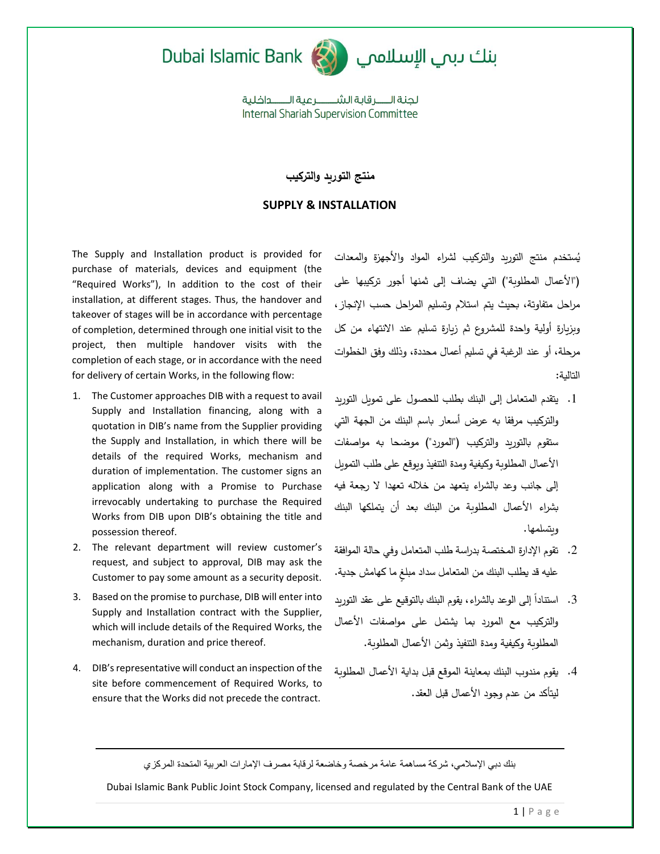



لحنة الـــــر قاية الشـــــــر عبة الـــــــداخلية **Internal Shariah Supervision Committee** 

## **منتج التوريد والتركيب**

## **SUPPLY & INSTALLATION**

The Supply and Installation product is provided for purchase of materials, devices and equipment (the "Required Works"), In addition to the cost of their installation, at different stages. Thus, the handover and takeover of stages will be in accordance with percentage of completion, determined through one initial visit to the project, then multiple handover visits with the completion of each stage, or in accordance with the need for delivery of certain Works, in the following flow:

- 1. The Customer approaches DIB with a request to avail Supply and Installation financing, along with a quotation in DIB's name from the Supplier providing the Supply and Installation, in which there will be details of the required Works, mechanism and duration of implementation. The customer signs an application along with a Promise to Purchase irrevocably undertaking to purchase the Required Works from DIB upon DIB's obtaining the title and possession thereof.
- 2. The relevant department will review customer's request, and subject to approval, DIB may ask the Customer to pay some amount as a security deposit.
- 3. Based on the promise to purchase, DIB will enter into Supply and Installation contract with the Supplier, which will include details of the Required Works, the mechanism, duration and price thereof.
- 4. DIB's representative will conduct an inspection of the site before commencement of Required Works, to ensure that the Works did not precede the contract.

يُستخدم منتج التوريد والتركيب لشراء المواد والأجهزة والمعدات )"األعمال ُالمطلوبة"( التي ُيضاف ُإلى ُثمنها ُأجور ُتركيبها ُعلىُ مراحلُ متفاوتةٌ، بحيثُ بتم استلام وتسليم المراحلُ حسبِ الانجازِ ، وبزيارة ُأولية ُواحدة ُللمشروع ُثم ُزيارة ُتسليم ُعند ُاالنتهاء ُمن ُكلُ مرحلة، أو عند الرغبةُ في تسليم أعمالُ محددة، وذلك وفق الخطوات التاليةُ:

- 1. يتقدم المتعامل إلى البنك بطلب للحصولُ على تمويل التوريد والتركيب مرفقاً به عرض أسعارِ باسمِ البنك من الجهةِ التي ستقوم بالتوريد والتركيب ("المورد") موضحا به مواصفات الأعمالُ المطلوبة وكيفية ومدة التنفيذُ وبوقع على طلب التمويل إلى جانب وعد بالشراءِ يتعهدُ من خلاله تعهدا لا رجعة فيه بشراء ُاألعمال ُالمطلوبة من ُالبنك بعد ُأن ُيتملكها ُالبنكُ ويتسلمها.
- . تقوم الإدارةِ المختصةُ بدراسةُ طلب المتعاملُ وفي حالة الموافقة عليه قد يطلب البنك من المتعامل سداد مبلغ ما كهامش جدية.
- 3. استناداً إلى الوعد بالشراء، يقوم البنك بالتوقيع على عقد التوريد والتركيب ُمع ُالمورد ُبما ُيشتمل ُعلى ُمواصفات ُاألعمالُ المطلوبةُ وكيفية ومدة التنفيذُ وثمنِ الأعمالِ المطلوبةِ.
- 4. يقوم مندوبِ البنكِ بمعاينةُ الموقعِ قبل بدايةِ الأعمالِ المطلوبة ليتأكدُ من عدم وجودِ الأعمالِ قبلِ العقدِ.

بنك دبي اإلسالمي، شركة مساهمة عامة مرخصة وخاضعة لرقابة مصرف اإلمارات العربية المتحدة المركزي

Dubai Islamic Bank Public Joint Stock Company, licensed and regulated by the Central Bank of the UAE